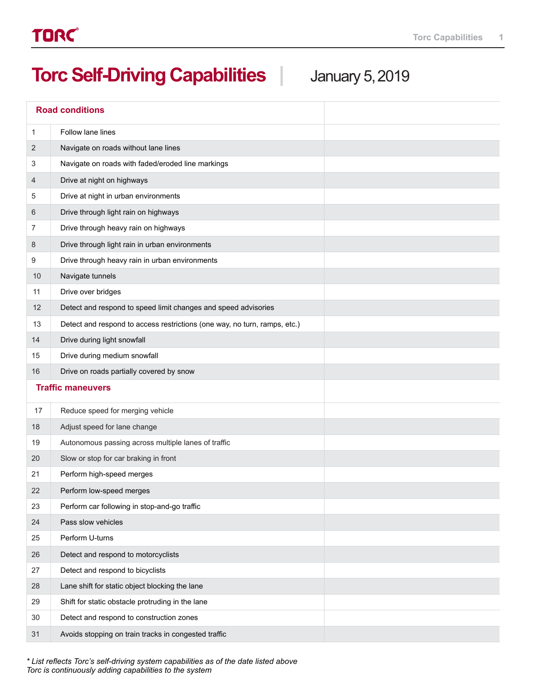## **Torc Self-Driving Capabilities |** January 5,2019

|                          | <b>Road conditions</b>                                                    |  |  |
|--------------------------|---------------------------------------------------------------------------|--|--|
| 1                        | Follow lane lines                                                         |  |  |
| 2                        | Navigate on roads without lane lines                                      |  |  |
| 3                        | Navigate on roads with faded/eroded line markings                         |  |  |
| 4                        | Drive at night on highways                                                |  |  |
| 5                        | Drive at night in urban environments                                      |  |  |
| 6                        | Drive through light rain on highways                                      |  |  |
| 7                        | Drive through heavy rain on highways                                      |  |  |
| 8                        | Drive through light rain in urban environments                            |  |  |
| 9                        | Drive through heavy rain in urban environments                            |  |  |
| 10                       | Navigate tunnels                                                          |  |  |
| 11                       | Drive over bridges                                                        |  |  |
| 12                       | Detect and respond to speed limit changes and speed advisories            |  |  |
| 13                       | Detect and respond to access restrictions (one way, no turn, ramps, etc.) |  |  |
| 14                       | Drive during light snowfall                                               |  |  |
| 15                       | Drive during medium snowfall                                              |  |  |
| 16                       | Drive on roads partially covered by snow                                  |  |  |
| <b>Traffic maneuvers</b> |                                                                           |  |  |
| 17                       | Reduce speed for merging vehicle                                          |  |  |
| 18                       | Adjust speed for lane change                                              |  |  |
| 19                       | Autonomous passing across multiple lanes of traffic                       |  |  |
| 20                       | Slow or stop for car braking in front                                     |  |  |
| 21                       | Perform high-speed merges                                                 |  |  |
| 22                       | Perform low-speed merges                                                  |  |  |
| 23                       | Perform car following in stop-and-go traffic                              |  |  |
| 24                       | Pass slow vehicles                                                        |  |  |
| 25                       | Perform U-turns                                                           |  |  |
| 26                       | Detect and respond to motorcyclists                                       |  |  |
| 27                       | Detect and respond to bicyclists                                          |  |  |
| 28                       | Lane shift for static object blocking the lane                            |  |  |
| 29                       | Shift for static obstacle protruding in the lane                          |  |  |
| 30                       | Detect and respond to construction zones                                  |  |  |
| 31                       | Avoids stopping on train tracks in congested traffic                      |  |  |

*\* List reflects Torc's self-driving system capabilities as of the date listed above Torc is continuously adding capabilities to the system*